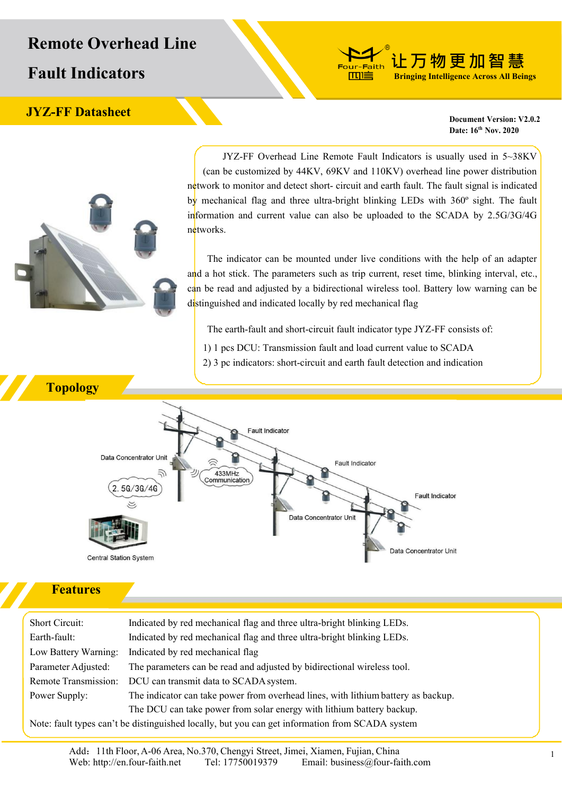# **Remote Overhead Line**

**Fault Indicators**

## **JYZ-FF** Datasheet **Datasheet D Document V2.0.2**

**Date: 16 th Nov. 2020**

**让万物更加智慧 Bringing Intelligence Across All Beings**

JYZ-FF Overhead Line Remote Fault Indicators is usually used in 5~38KV (can be customized by 44KV, 69KV and 110KV) overhead line power distribution network to monitor and detect short- circuit and earth fault. The fault signal is indicated by mechanical flag and three ultra-bright blinking LEDs with 360° sight. The fault information and current value can also be uploaded to the SCADA by 2.5G/3G/4G networks.

-Faith 血道

The indicator can be mounted under live conditions with the help of an adapter and a hot stick. The parameters such as trip current, reset time, blinking interval, etc., can be read and adjusted by a bidirectional wireless tool. Battery low warning can be distinguished and indicated locally by red mechanical flag

The earth-fault and short-circuit fault indicator type JYZ-FF consists of:

- 1) 1 pcs DCU: Transmission fault and load current value to SCADA
- 2) 3 pc indicators: short-circuit and earth fault detection and indication



#### **Features**

Short Circuit: Indicated by red mechanical flag and three ultra-bright blinking LEDs. Earth-fault: Indicated by red mechanical flag and three ultra-bright blinking LEDs. Low Battery Warning: Indicated by red mechanical flag Parameter Adjusted: The parameters can be read and adjusted by bidirectional wireless tool. Remote Transmission: DCU can transmit data to SCADA system. Power Supply: The indicator can take power from overhead lines, with lithium battery as backup. The DCU can take power from solar energy with lithium battery backup.

Note: fault types can't be distinguished locally, but you can get information from SCADA system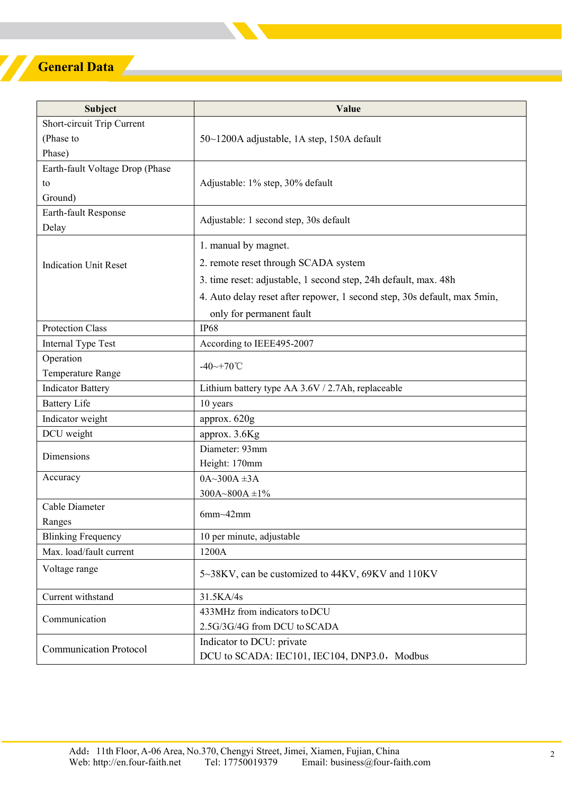# **General Data**

| Subject                         | Value                                                                    |  |
|---------------------------------|--------------------------------------------------------------------------|--|
| Short-circuit Trip Current      |                                                                          |  |
| (Phase to                       | 50~1200A adjustable, 1A step, 150A default                               |  |
| Phase)                          |                                                                          |  |
| Earth-fault Voltage Drop (Phase |                                                                          |  |
| to                              | Adjustable: 1% step, 30% default                                         |  |
| Ground)                         |                                                                          |  |
| Earth-fault Response            | Adjustable: 1 second step, 30s default                                   |  |
| Delay                           |                                                                          |  |
| <b>Indication Unit Reset</b>    | 1. manual by magnet.                                                     |  |
|                                 | 2. remote reset through SCADA system                                     |  |
|                                 | 3. time reset: adjustable, 1 second step, 24h default, max. 48h          |  |
|                                 | 4. Auto delay reset after repower, 1 second step, 30s default, max 5min, |  |
|                                 | only for permanent fault                                                 |  |
| <b>Protection Class</b>         | <b>IP68</b>                                                              |  |
| Internal Type Test              | According to IEEE495-2007                                                |  |
| Operation                       |                                                                          |  |
| Temperature Range               | -40~+70°C                                                                |  |
| <b>Indicator Battery</b>        | Lithium battery type AA 3.6V / 2.7Ah, replaceable                        |  |
| <b>Battery Life</b>             | 10 years                                                                 |  |
| Indicator weight                | approx. 620g                                                             |  |
| DCU weight                      | approx. 3.6Kg                                                            |  |
|                                 | Diameter: 93mm                                                           |  |
| Dimensions                      | Height: 170mm                                                            |  |
| Accuracy                        | $0A~300A~\pm 3A$                                                         |  |
|                                 | 300A~800A ±1%                                                            |  |
| Cable Diameter                  | $6mm-42mm$                                                               |  |
| Ranges                          |                                                                          |  |
| <b>Blinking Frequency</b>       | 10 per minute, adjustable                                                |  |
| Max. load/fault current         | 1200A                                                                    |  |
| Voltage range                   | 5~38KV, can be customized to 44KV, 69KV and 110KV                        |  |
| Current withstand               | 31.5KA/4s                                                                |  |
| Communication                   | 433MHz from indicators to DCU                                            |  |
|                                 | 2.5G/3G/4G from DCU to SCADA                                             |  |
| <b>Communication Protocol</b>   | Indicator to DCU: private                                                |  |
|                                 | DCU to SCADA: IEC101, IEC104, DNP3.0, Modbus                             |  |